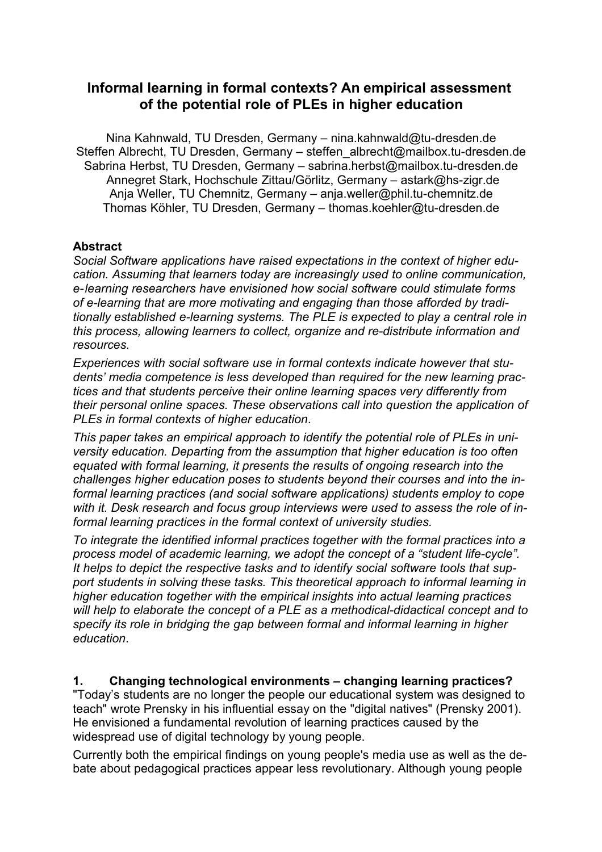# **Informal learning in formal contexts? An empirical assessment of the potential role of PLEs in higher education**

Nina Kahnwald, TU Dresden, Germany – nina.kahnwald@tu-dresden.de Steffen Albrecht, TU Dresden, Germany – steffen\_albrecht@mailbox.tu-dresden.de Sabrina Herbst, TU Dresden, Germany – sabrina.herbst@mailbox.tu-dresden.de Annegret Stark, Hochschule Zittau/Görlitz, Germany – astark@hs-zigr.de Anja Weller, TU Chemnitz, Germany – anja.weller@phil.tu-chemnitz.de Thomas Köhler, TU Dresden, Germany – thomas.koehler@tu-dresden.de

#### **Abstract**

*Social Software applications have raised expectations in the context of higher education. Assuming that learners today are increasingly used to online communication, e-learning researchers have envisioned how social software could stimulate forms of e-learning that are more motivating and engaging than those afforded by traditionally established e-learning systems. The PLE is expected to play a central role in this process, allowing learners to collect, organize and re-distribute information and resources.*

*Experiences with social software use in formal contexts indicate however that students' media competence is less developed than required for the new learning practices and that students perceive their online learning spaces very differently from their personal online spaces. These observations call into question the application of PLEs in formal contexts of higher education.*

*This paper takes an empirical approach to identify the potential role of PLEs in university education. Departing from the assumption that higher education is too often equated with formal learning, it presents the results of ongoing research into the challenges higher education poses to students beyond their courses and into the informal learning practices (and social software applications) students employ to cope with it. Desk research and focus group interviews were used to assess the role of informal learning practices in the formal context of university studies.*

*To integrate the identified informal practices together with the formal practices into a process model of academic learning, we adopt the concept of a "student life-cycle". It helps to depict the respective tasks and to identify social software tools that support students in solving these tasks. This theoretical approach to informal learning in higher education together with the empirical insights into actual learning practices will help to elaborate the concept of a PLE as a methodical-didactical concept and to specify its role in bridging the gap between formal and informal learning in higher education.*

#### **1. Changing technological environments – changing learning practices?**

"Today's students are no longer the people our educational system was designed to teach" wrote Prensky in his influential essay on the "digital natives" (Prensky 2001). He envisioned a fundamental revolution of learning practices caused by the widespread use of digital technology by young people.

Currently both the empirical findings on young people's media use as well as the debate about pedagogical practices appear less revolutionary. Although young people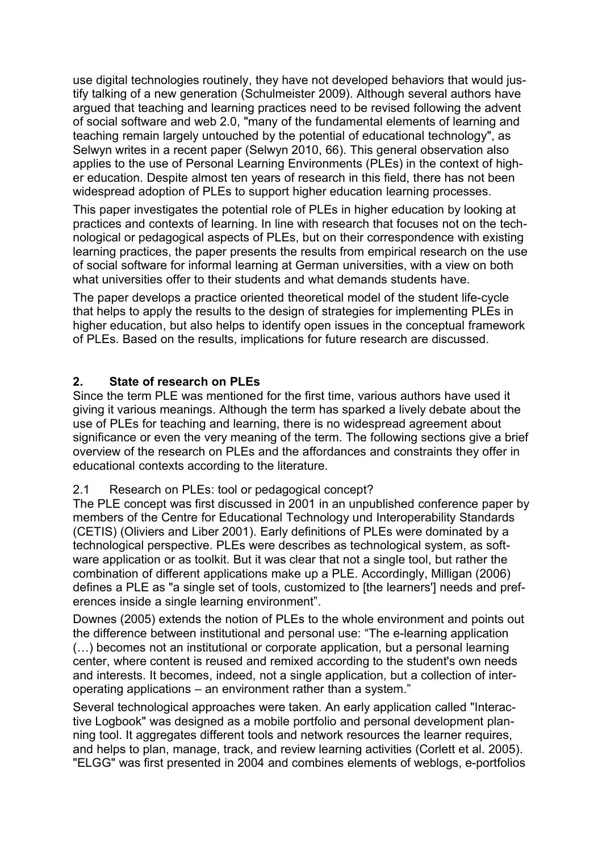use digital technologies routinely, they have not developed behaviors that would justify talking of a new generation (Schulmeister 2009). Although several authors have argued that teaching and learning practices need to be revised following the advent of social software and web 2.0, "many of the fundamental elements of learning and teaching remain largely untouched by the potential of educational technology", as Selwyn writes in a recent paper (Selwyn 2010, 66). This general observation also applies to the use of Personal Learning Environments (PLEs) in the context of higher education. Despite almost ten years of research in this field, there has not been widespread adoption of PLEs to support higher education learning processes.

This paper investigates the potential role of PLEs in higher education by looking at practices and contexts of learning. In line with research that focuses not on the technological or pedagogical aspects of PLEs, but on their correspondence with existing learning practices, the paper presents the results from empirical research on the use of social software for informal learning at German universities, with a view on both what universities offer to their students and what demands students have.

The paper develops a practice oriented theoretical model of the student life-cycle that helps to apply the results to the design of strategies for implementing PLEs in higher education, but also helps to identify open issues in the conceptual framework of PLEs. Based on the results, implications for future research are discussed.

## **2. State of research on PLEs**

Since the term PLE was mentioned for the first time, various authors have used it giving it various meanings. Although the term has sparked a lively debate about the use of PLEs for teaching and learning, there is no widespread agreement about significance or even the very meaning of the term. The following sections give a brief overview of the research on PLEs and the affordances and constraints they offer in educational contexts according to the literature.

## 2.1 Research on PLEs: tool or pedagogical concept?

The PLE concept was first discussed in 2001 in an unpublished conference paper by members of the Centre for Educational Technology und Interoperability Standards (CETIS) (Oliviers and Liber 2001). Early definitions of PLEs were dominated by a technological perspective. PLEs were describes as technological system, as software application or as toolkit. But it was clear that not a single tool, but rather the combination of different applications make up a PLE. Accordingly, Milligan (2006) defines a PLE as "a single set of tools, customized to [the learners'] needs and preferences inside a single learning environment".

Downes (2005) extends the notion of PLEs to the whole environment and points out the difference between institutional and personal use: "The e-learning application (…) becomes not an institutional or corporate application, but a personal learning center, where content is reused and remixed according to the student's own needs and interests. It becomes, indeed, not a single application, but a collection of interoperating applications – an environment rather than a system."

Several technological approaches were taken. An early application called "Interactive Logbook" was designed as a mobile portfolio and personal development planning tool. It aggregates different tools and network resources the learner requires, and helps to plan, manage, track, and review learning activities (Corlett et al. 2005). "ELGG" was first presented in 2004 and combines elements of weblogs, e-portfolios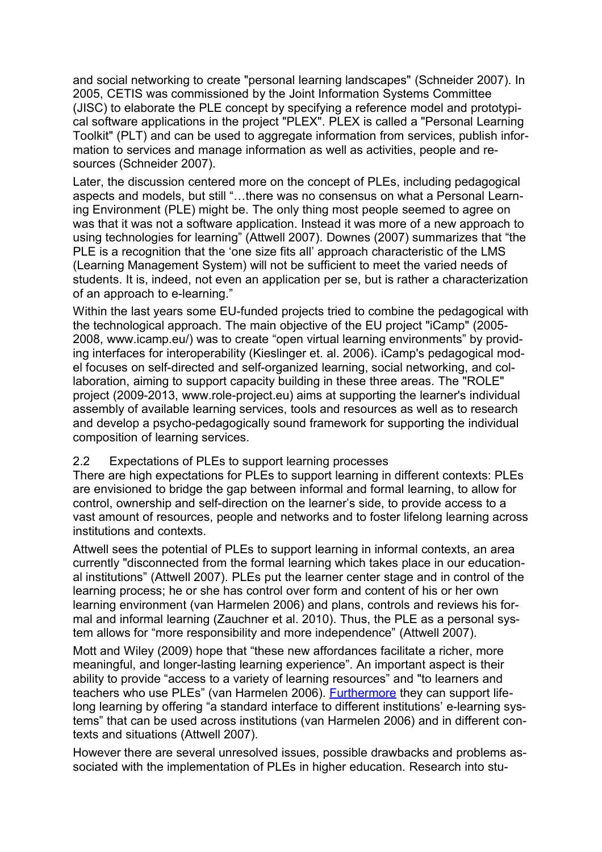and social networking to create "personal learning landscapes" (Schneider 2007). In 2005, CETIS was commissioned by the Joint Information Systems Committee (JISC) to elaborate the PLE concept by specifying a reference model and prototypical software applications in the project "PLEX". PLEX is called a "Personal Learning Toolkit" (PLT) and can be used to aggregate information from services, publish information to services and manage information as well as activities, people and resources (Schneider 2007).

Later, the discussion centered more on the concept of PLEs, including pedagogical aspects and models, but still "…there was no consensus on what a Personal Learning Environment (PLE) might be. The only thing most people seemed to agree on was that it was not a software application. Instead it was more of a new approach to using technologies for learning" (Attwell 2007). Downes (2007) summarizes that "the PLE is a recognition that the 'one size fits all' approach characteristic of the LMS (Learning Management System) will not be sufficient to meet the varied needs of students. It is, indeed, not even an application per se, but is rather a characterization of an approach to e-learning."

Within the last years some EU-funded projects tried to combine the pedagogical with the technological approach. The main objective of the EU project "iCamp" (2005- 2008, www.icamp.eu/) was to create "open virtual learning environments" by providing interfaces for interoperability (Kieslinger et. al. 2006). iCamp's pedagogical model focuses on self-directed and self-organized learning, social networking, and collaboration, aiming to support capacity building in these three areas. The "ROLE" project (2009-2013, www.role-project.eu) aims at supporting the learner's individual assembly of available learning services, tools and resources as well as to research and develop a psycho-pedagogically sound framework for supporting the individual composition of learning services.

#### 2.2 Expectations of PLEs to support learning processes

There are high expectations for PLEs to support learning in different contexts: PLEs are envisioned to bridge the gap between informal and formal learning, to allow for control, ownership and self-direction on the learner's side, to provide access to a vast amount of resources, people and networks and to foster lifelong learning across institutions and contexts.

Attwell sees the potential of PLEs to support learning in informal contexts, an area currently "disconnected from the formal learning which takes place in our educational institutions" (Attwell 2007). PLEs put the learner center stage and in control of the learning process; he or she has control over form and content of his or her own learning environment (van Harmelen 2006) and plans, controls and reviews his formal and informal learning (Zauchner et al. 2010). Thus, the PLE as a personal system allows for "more responsibility and more independence" (Attwell 2007).

Mott and Wiley (2009) hope that "these new affordances facilitate a richer, more meaningful, and longer-lasting learning experience". An important aspect is their ability to provide "access to a variety of learning resources" and "to learners and teachers who use PLEs" (van Harmelen 2006). [Furthermore](http://www.dict.cc/englisch-deutsch/furthermore.html) they can support lifelong learning by offering "a standard interface to different institutions' e-learning systems" that can be used across institutions (van Harmelen 2006) and in different contexts and situations (Attwell 2007).

However there are several unresolved issues, possible drawbacks and problems associated with the implementation of PLEs in higher education. Research into stu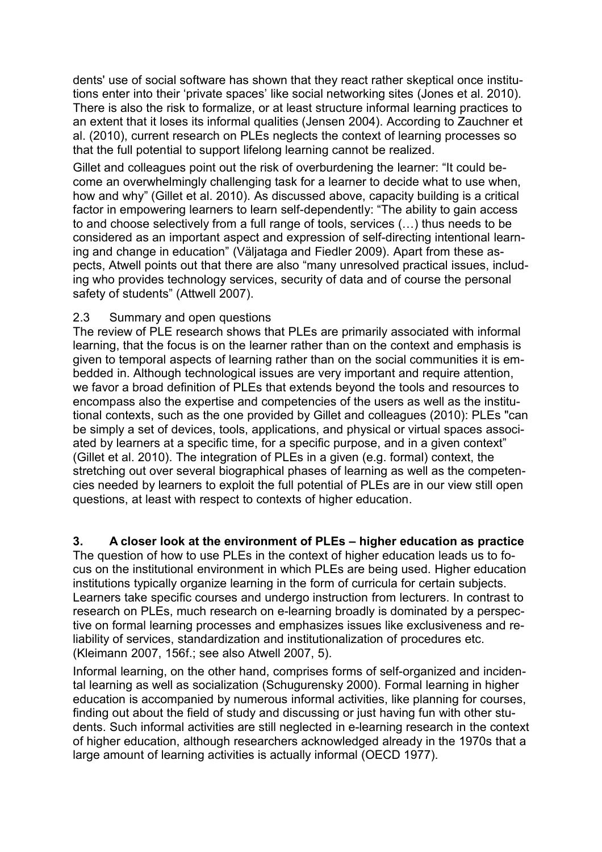dents' use of social software has shown that they react rather skeptical once institutions enter into their 'private spaces' like social networking sites (Jones et al. 2010). There is also the risk to formalize, or at least structure informal learning practices to an extent that it loses its informal qualities (Jensen 2004). According to Zauchner et al. (2010), current research on PLEs neglects the context of learning processes so that the full potential to support lifelong learning cannot be realized.

Gillet and colleagues point out the risk of overburdening the learner: "It could become an overwhelmingly challenging task for a learner to decide what to use when, how and why" (Gillet et al. 2010). As discussed above, capacity building is a critical factor in empowering learners to learn self-dependently: "The ability to gain access to and choose selectively from a full range of tools, services (…) thus needs to be considered as an important aspect and expression of self-directing intentional learning and change in education" (Väljataga and Fiedler 2009). Apart from these aspects, Atwell points out that there are also "many unresolved practical issues, including who provides technology services, security of data and of course the personal safety of students" (Attwell 2007).

#### 2.3 Summary and open questions

The review of PLE research shows that PLEs are primarily associated with informal learning, that the focus is on the learner rather than on the context and emphasis is given to temporal aspects of learning rather than on the social communities it is embedded in. Although technological issues are very important and require attention, we favor a broad definition of PLEs that extends beyond the tools and resources to encompass also the expertise and competencies of the users as well as the institutional contexts, such as the one provided by Gillet and colleagues (2010): PLEs "can be simply a set of devices, tools, applications, and physical or virtual spaces associated by learners at a specific time, for a specific purpose, and in a given context" (Gillet et al. 2010). The integration of PLEs in a given (e.g. formal) context, the stretching out over several biographical phases of learning as well as the competencies needed by learners to exploit the full potential of PLEs are in our view still open questions, at least with respect to contexts of higher education.

## **3. A closer look at the environment of PLEs – higher education as practice**

The question of how to use PLEs in the context of higher education leads us to focus on the institutional environment in which PLEs are being used. Higher education institutions typically organize learning in the form of curricula for certain subjects. Learners take specific courses and undergo instruction from lecturers. In contrast to research on PLEs, much research on e-learning broadly is dominated by a perspective on formal learning processes and emphasizes issues like exclusiveness and reliability of services, standardization and institutionalization of procedures etc. (Kleimann 2007, 156f.; see also Atwell 2007, 5).

Informal learning, on the other hand, comprises forms of self-organized and incidental learning as well as socialization (Schugurensky 2000). Formal learning in higher education is accompanied by numerous informal activities, like planning for courses, finding out about the field of study and discussing or just having fun with other students. Such informal activities are still neglected in e-learning research in the context of higher education, although researchers acknowledged already in the 1970s that a large amount of learning activities is actually informal (OECD 1977).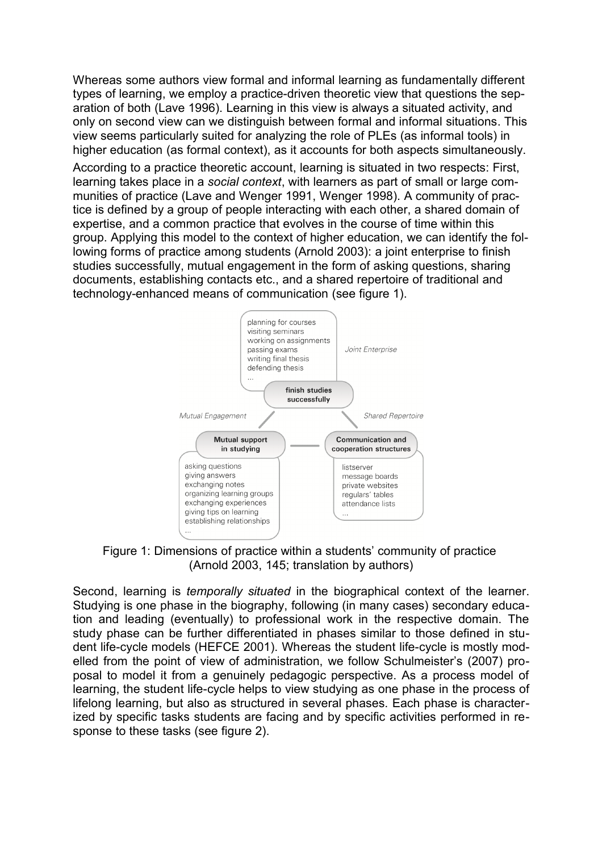Whereas some authors view formal and informal learning as fundamentally different types of learning, we employ a practice-driven theoretic view that questions the separation of both (Lave 1996). Learning in this view is always a situated activity, and only on second view can we distinguish between formal and informal situations. This view seems particularly suited for analyzing the role of PLEs (as informal tools) in higher education (as formal context), as it accounts for both aspects simultaneously.

According to a practice theoretic account, learning is situated in two respects: First, learning takes place in a *social context*, with learners as part of small or large communities of practice (Lave and Wenger 1991, Wenger 1998). A community of practice is defined by a group of people interacting with each other, a shared domain of expertise, and a common practice that evolves in the course of time within this group. Applying this model to the context of higher education, we can identify the following forms of practice among students (Arnold 2003): a joint enterprise to finish studies successfully, mutual engagement in the form of asking questions, sharing documents, establishing contacts etc., and a shared repertoire of traditional and technology-enhanced means of communication (see figure 1).



Figure 1: Dimensions of practice within a students' community of practice (Arnold 2003, 145; translation by authors)

Second, learning is *temporally situated* in the biographical context of the learner. Studying is one phase in the biography, following (in many cases) secondary education and leading (eventually) to professional work in the respective domain. The study phase can be further differentiated in phases similar to those defined in student life-cycle models (HEFCE 2001). Whereas the student life-cycle is mostly modelled from the point of view of administration, we follow Schulmeister's (2007) proposal to model it from a genuinely pedagogic perspective. As a process model of learning, the student life-cycle helps to view studying as one phase in the process of lifelong learning, but also as structured in several phases. Each phase is characterized by specific tasks students are facing and by specific activities performed in response to these tasks (see figure 2).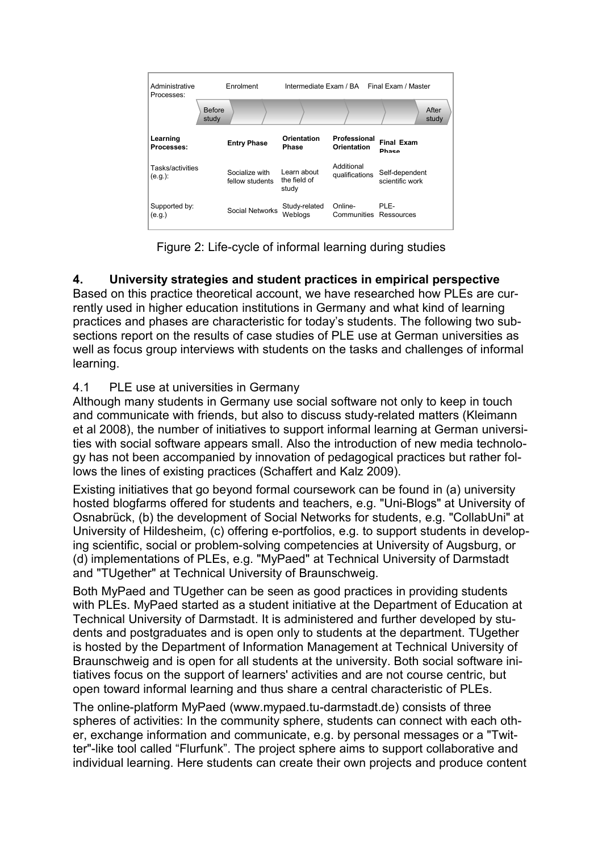

Figure 2: Life-cycle of informal learning during studies

# **4. University strategies and student practices in empirical perspective**

Based on this practice theoretical account, we have researched how PLEs are currently used in higher education institutions in Germany and what kind of learning practices and phases are characteristic for today's students. The following two subsections report on the results of case studies of PLE use at German universities as well as focus group interviews with students on the tasks and challenges of informal learning.

## 4.1 PLE use at universities in Germany

Although many students in Germany use social software not only to keep in touch and communicate with friends, but also to discuss study-related matters (Kleimann et al 2008), the number of initiatives to support informal learning at German universities with social software appears small. Also the introduction of new media technology has not been accompanied by innovation of pedagogical practices but rather follows the lines of existing practices (Schaffert and Kalz 2009).

Existing initiatives that go beyond formal coursework can be found in (a) university hosted blogfarms offered for students and teachers, e.g. "Uni-Blogs" at University of Osnabrück, (b) the development of Social Networks for students, e.g. "CollabUni" at University of Hildesheim, (c) offering e-portfolios, e.g. to support students in developing scientific, social or problem-solving competencies at University of Augsburg, or (d) implementations of PLEs, e.g. "MyPaed" at Technical University of Darmstadt and "TUgether" at Technical University of Braunschweig.

Both MyPaed and TUgether can be seen as good practices in providing students with PLEs. MyPaed started as a student initiative at the Department of Education at Technical University of Darmstadt. It is administered and further developed by students and postgraduates and is open only to students at the department. TUgether is hosted by the Department of Information Management at Technical University of Braunschweig and is open for all students at the university. Both social software initiatives focus on the support of learners' activities and are not course centric, but open toward informal learning and thus share a central characteristic of PLEs.

The online-platform MyPaed (www.mypaed.tu-darmstadt.de) consists of three spheres of activities: In the community sphere, students can connect with each other, exchange information and communicate, e.g. by personal messages or a "Twitter"-like tool called "Flurfunk". The project sphere aims to support collaborative and individual learning. Here students can create their own projects and produce content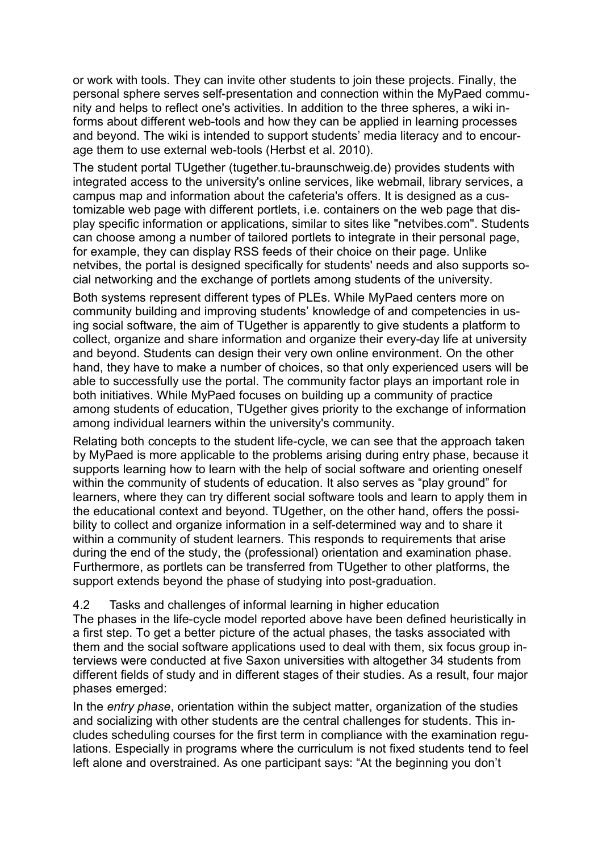or work with tools. They can invite other students to join these projects. Finally, the personal sphere serves self-presentation and connection within the MyPaed community and helps to reflect one's activities. In addition to the three spheres, a wiki informs about different web-tools and how they can be applied in learning processes and beyond. The wiki is intended to support students' media literacy and to encourage them to use external web-tools (Herbst et al. 2010).

The student portal TUgether (tugether.tu-braunschweig.de) provides students with integrated access to the university's online services, like webmail, library services, a campus map and information about the cafeteria's offers. It is designed as a customizable web page with different portlets, i.e. containers on the web page that display specific information or applications, similar to sites like "netvibes.com". Students can choose among a number of tailored portlets to integrate in their personal page, for example, they can display RSS feeds of their choice on their page. Unlike netvibes, the portal is designed specifically for students' needs and also supports social networking and the exchange of portlets among students of the university.

Both systems represent different types of PLEs. While MyPaed centers more on community building and improving students' knowledge of and competencies in using social software, the aim of TUgether is apparently to give students a platform to collect, organize and share information and organize their every-day life at university and beyond. Students can design their very own online environment. On the other hand, they have to make a number of choices, so that only experienced users will be able to successfully use the portal. The community factor plays an important role in both initiatives. While MyPaed focuses on building up a community of practice among students of education, TUgether gives priority to the exchange of information among individual learners within the university's community.

Relating both concepts to the student life-cycle, we can see that the approach taken by MyPaed is more applicable to the problems arising during entry phase, because it supports learning how to learn with the help of social software and orienting oneself within the community of students of education. It also serves as "play ground" for learners, where they can try different social software tools and learn to apply them in the educational context and beyond. TUgether, on the other hand, offers the possibility to collect and organize information in a self-determined way and to share it within a community of student learners. This responds to requirements that arise during the end of the study, the (professional) orientation and examination phase. Furthermore, as portlets can be transferred from TUgether to other platforms, the support extends beyond the phase of studying into post-graduation.

#### 4.2 Tasks and challenges of informal learning in higher education

The phases in the life-cycle model reported above have been defined heuristically in a first step. To get a better picture of the actual phases, the tasks associated with them and the social software applications used to deal with them, six focus group interviews were conducted at five Saxon universities with altogether 34 students from different fields of study and in different stages of their studies. As a result, four major phases emerged:

In the *entry phase*, orientation within the subject matter, organization of the studies and socializing with other students are the central challenges for students. This includes scheduling courses for the first term in compliance with the examination regulations. Especially in programs where the curriculum is not fixed students tend to feel left alone and overstrained. As one participant says: "At the beginning you don't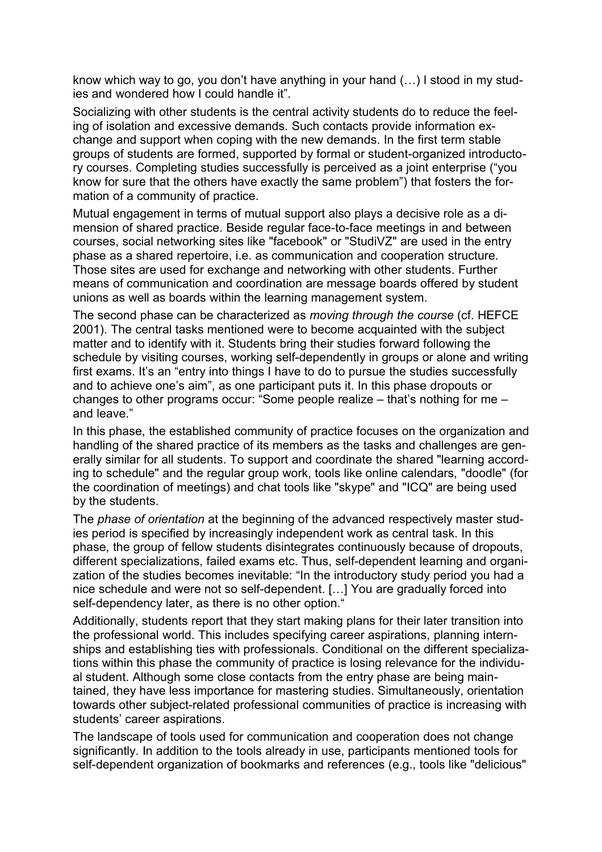know which way to go, you don't have anything in your hand (…) I stood in my studies and wondered how I could handle it".

Socializing with other students is the central activity students do to reduce the feeling of isolation and excessive demands. Such contacts provide information exchange and support when coping with the new demands. In the first term stable groups of students are formed, supported by formal or student-organized introductory courses. Completing studies successfully is perceived as a joint enterprise ("you know for sure that the others have exactly the same problem") that fosters the formation of a community of practice.

Mutual engagement in terms of mutual support also plays a decisive role as a dimension of shared practice. Beside regular face-to-face meetings in and between courses, social networking sites like "facebook" or "StudiVZ" are used in the entry phase as a shared repertoire, i.e. as communication and cooperation structure. Those sites are used for exchange and networking with other students. Further means of communication and coordination are message boards offered by student unions as well as boards within the learning management system.

The second phase can be characterized as *moving through the course* (cf. HEFCE 2001). The central tasks mentioned were to become acquainted with the subject matter and to identify with it. Students bring their studies forward following the schedule by visiting courses, working self-dependently in groups or alone and writing first exams. It's an "entry into things I have to do to pursue the studies successfully and to achieve one's aim", as one participant puts it. In this phase dropouts or changes to other programs occur: "Some people realize – that's nothing for me – and leave."

In this phase, the established community of practice focuses on the organization and handling of the shared practice of its members as the tasks and challenges are generally similar for all students. To support and coordinate the shared "learning according to schedule" and the regular group work, tools like online calendars, "doodle" (for the coordination of meetings) and chat tools like "skype" and "ICQ" are being used by the students.

The *phase of orientation* at the beginning of the advanced respectively master studies period is specified by increasingly independent work as central task. In this phase, the group of fellow students disintegrates continuously because of dropouts, different specializations, failed exams etc. Thus, self-dependent learning and organization of the studies becomes inevitable: "In the introductory study period you had a nice schedule and were not so self-dependent. […] You are gradually forced into self-dependency later, as there is no other option."

Additionally, students report that they start making plans for their later transition into the professional world. This includes specifying career aspirations, planning internships and establishing ties with professionals. Conditional on the different specializations within this phase the community of practice is losing relevance for the individual student. Although some close contacts from the entry phase are being maintained, they have less importance for mastering studies. Simultaneously, orientation towards other subject-related professional communities of practice is increasing with students' career aspirations.

The landscape of tools used for communication and cooperation does not change significantly. In addition to the tools already in use, participants mentioned tools for self-dependent organization of bookmarks and references (e.g., tools like "delicious"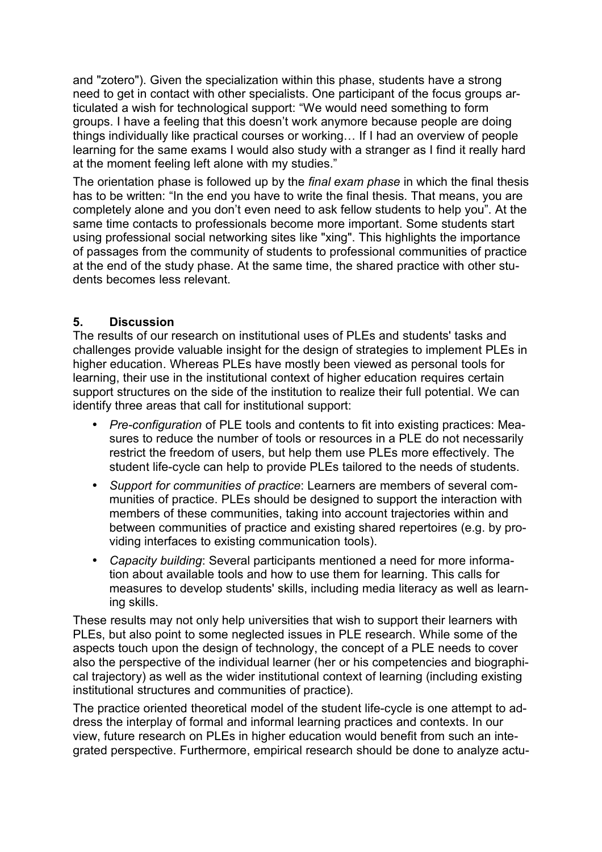and "zotero"). Given the specialization within this phase, students have a strong need to get in contact with other specialists. One participant of the focus groups articulated a wish for technological support: "We would need something to form groups. I have a feeling that this doesn't work anymore because people are doing things individually like practical courses or working… If I had an overview of people learning for the same exams I would also study with a stranger as I find it really hard at the moment feeling left alone with my studies."

The orientation phase is followed up by the *final exam phase* in which the final thesis has to be written: "In the end you have to write the final thesis. That means, you are completely alone and you don't even need to ask fellow students to help you". At the same time contacts to professionals become more important. Some students start using professional social networking sites like "xing". This highlights the importance of passages from the community of students to professional communities of practice at the end of the study phase. At the same time, the shared practice with other students becomes less relevant.

### **5. Discussion**

The results of our research on institutional uses of PLEs and students' tasks and challenges provide valuable insight for the design of strategies to implement PLEs in higher education. Whereas PLEs have mostly been viewed as personal tools for learning, their use in the institutional context of higher education requires certain support structures on the side of the institution to realize their full potential. We can identify three areas that call for institutional support:

- *Pre-configuration* of PLE tools and contents to fit into existing practices: Measures to reduce the number of tools or resources in a PLE do not necessarily restrict the freedom of users, but help them use PLEs more effectively. The student life-cycle can help to provide PLEs tailored to the needs of students.
- *Support for communities of practice*: Learners are members of several communities of practice. PLEs should be designed to support the interaction with members of these communities, taking into account trajectories within and between communities of practice and existing shared repertoires (e.g. by providing interfaces to existing communication tools).
- *Capacity building*: Several participants mentioned a need for more information about available tools and how to use them for learning. This calls for measures to develop students' skills, including media literacy as well as learning skills.

These results may not only help universities that wish to support their learners with PLEs, but also point to some neglected issues in PLE research. While some of the aspects touch upon the design of technology, the concept of a PLE needs to cover also the perspective of the individual learner (her or his competencies and biographical trajectory) as well as the wider institutional context of learning (including existing institutional structures and communities of practice).

The practice oriented theoretical model of the student life-cycle is one attempt to address the interplay of formal and informal learning practices and contexts. In our view, future research on PLEs in higher education would benefit from such an integrated perspective. Furthermore, empirical research should be done to analyze actu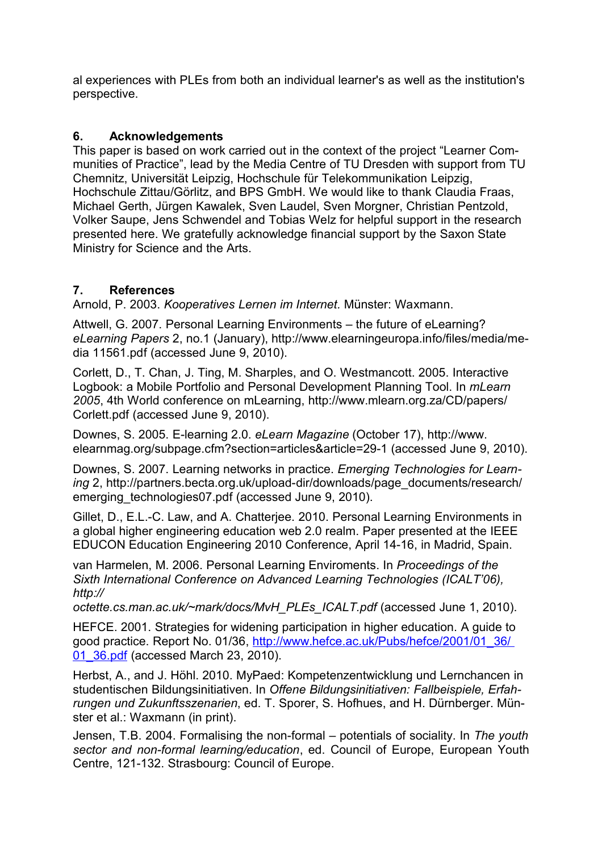al experiences with PLEs from both an individual learner's as well as the institution's perspective.

### **6. Acknowledgements**

This paper is based on work carried out in the context of the project "Learner Communities of Practice", lead by the Media Centre of TU Dresden with support from TU Chemnitz, Universität Leipzig, Hochschule für Telekommunikation Leipzig, Hochschule Zittau/Görlitz, and BPS GmbH. We would like to thank Claudia Fraas, Michael Gerth, Jürgen Kawalek, Sven Laudel, Sven Morgner, Christian Pentzold, Volker Saupe, Jens Schwendel and Tobias Welz for helpful support in the research presented here. We gratefully acknowledge financial support by the Saxon State Ministry for Science and the Arts.

## **7. References**

Arnold, P. 2003. *Kooperatives Lernen im Internet.* Münster: Waxmann.

Attwell, G. 2007. Personal Learning Environments – the future of eLearning? *eLearning Papers* 2, no.1 (January), http://www.elearningeuropa.info/files/media/media 11561.pdf (accessed June 9, 2010).

Corlett, D., T. Chan, J. Ting, M. Sharples, and O. Westmancott. 2005. Interactive Logbook: a Mobile Portfolio and Personal Development Planning Tool. In *mLearn 2005*, 4th World conference on mLearning, http://www.mlearn.org.za/CD/papers/ Corlett.pdf (accessed June 9, 2010).

Downes, S. 2005. E-learning 2.0. *eLearn Magazine* (October 17), http://www. elearnmag.org/subpage.cfm?section=articles&article=29-1 (accessed June 9, 2010).

Downes, S. 2007. Learning networks in practice. *Emerging Technologies for Learning* 2, http://partners.becta.org.uk/upload-dir/downloads/page\_documents/research/ emerging technologies07.pdf (accessed June 9, 2010).

Gillet, D., E.L.-C. Law, and A. Chatterjee. 2010. Personal Learning Environments in a global higher engineering education web 2.0 realm. Paper presented at the IEEE EDUCON Education Engineering 2010 Conference, April 14-16, in Madrid, Spain.

van Harmelen, M. 2006. Personal Learning Enviroments. In *Proceedings of the Sixth International Conference on Advanced Learning Technologies (ICALT'06), http://*

*octette.cs.man.ac.uk/~mark/docs/MvH\_PLEs\_ICALT.pdf* (accessed June 1, 2010).

HEFCE. 2001. Strategies for widening participation in higher education. A guide to good practice. Report No. 01/36, [http://www.hefce.ac.uk/Pubs/hefce/2001/01\\_36/](http://www.hefce.ac.uk/Pubs/hefce/2001/01_36/01_36.pdf) 01 36.pdf (accessed March 23, 2010).

Herbst, A., and J. Höhl. 2010. MyPaed: Kompetenzentwicklung und Lernchancen in studentischen Bildungsinitiativen. In *Offene Bildungsinitiativen: Fallbeispiele, Erfahrungen und Zukunftsszenarien*, ed. T. Sporer, S. Hofhues, and H. Dürnberger. Münster et al.: Waxmann (in print).

Jensen, T.B. 2004. Formalising the non-formal – potentials of sociality. In *The youth sector and non-formal learning/education*, ed. Council of Europe, European Youth Centre, 121-132. Strasbourg: Council of Europe.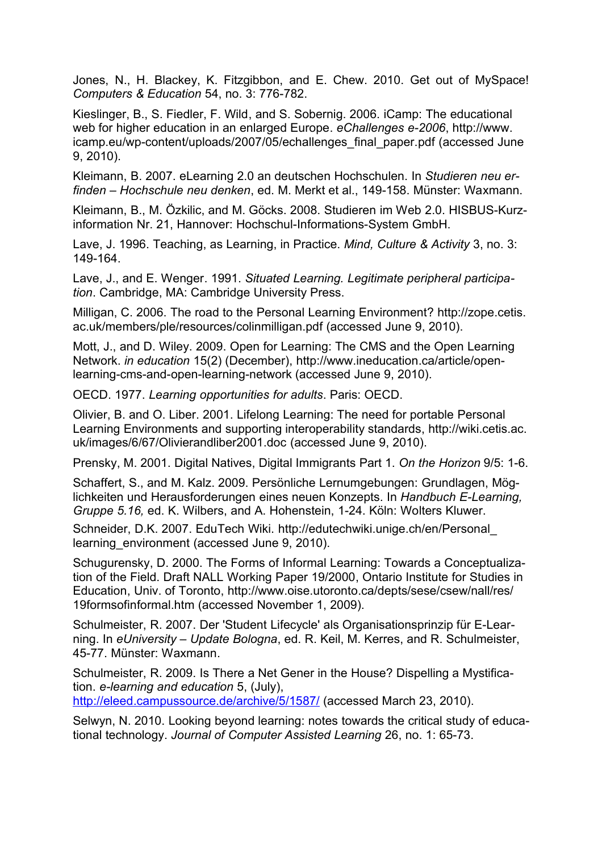Jones, N., H. Blackey, K. Fitzgibbon, and E. Chew. 2010. Get out of MySpace! *Computers & Education* 54, no. 3: 776-782.

Kieslinger, B., S. Fiedler, F. Wild, and S. Sobernig. 2006. iCamp: The educational web for higher education in an enlarged Europe. *eChallenges e-2006*, http://www. icamp.eu/wp-content/uploads/2007/05/echallenges\_final\_paper.pdf (accessed June 9, 2010).

Kleimann, B. 2007. eLearning 2.0 an deutschen Hochschulen. In *Studieren neu erfinden – Hochschule neu denken*, ed. M. Merkt et al., 149-158. Münster: Waxmann.

Kleimann, B., M. Özkilic, and M. Göcks. 2008. Studieren im Web 2.0. HISBUS-Kurzinformation Nr. 21, Hannover: Hochschul-Informations-System GmbH.

Lave, J. 1996. Teaching, as Learning, in Practice. *Mind, Culture & Activity* 3, no. 3: 149-164.

Lave, J., and E. Wenger. 1991. *Situated Learning. Legitimate peripheral participation*. Cambridge, MA: Cambridge University Press.

Milligan, C. 2006. The road to the Personal Learning Environment? http://zope.cetis. ac.uk/members/ple/resources/colinmilligan.pdf (accessed June 9, 2010).

Mott, J., and D. Wiley. 2009. Open for Learning: The CMS and the Open Learning Network. *in education* 15(2) (December), http://www.ineducation.ca/article/openlearning-cms-and-open-learning-network (accessed June 9, 2010).

OECD. 1977. *Learning opportunities for adults*. Paris: OECD.

Olivier, B. and O. Liber. 2001. Lifelong Learning: The need for portable Personal Learning Environments and supporting interoperability standards, http://wiki.cetis.ac. uk/images/6/67/Olivierandliber2001.doc (accessed June 9, 2010).

Prensky, M. 2001. Digital Natives, Digital Immigrants Part 1. *On the Horizon* 9/5: 1-6.

Schaffert, S., and M. Kalz. 2009. Persönliche Lernumgebungen: Grundlagen, Möglichkeiten und Herausforderungen eines neuen Konzepts. In *Handbuch E-Learning, Gruppe 5.16,* ed. K. Wilbers, and A. Hohenstein, 1-24. Köln: Wolters Kluwer.

Schneider, D.K. 2007. EduTech Wiki. http://edutechwiki.unige.ch/en/Personal\_ learning environment (accessed June 9, 2010).

Schugurensky, D. 2000. The Forms of Informal Learning: Towards a Conceptualization of the Field. Draft NALL Working Paper 19/2000, Ontario Institute for Studies in Education, Univ. of Toronto, http://www.oise.utoronto.ca/depts/sese/csew/nall/res/ 19formsofinformal.htm (accessed November 1, 2009).

Schulmeister, R. 2007. Der 'Student Lifecycle' als Organisationsprinzip für E-Learning. In *eUniversity – Update Bologna*, ed. R. Keil, M. Kerres, and R. Schulmeister, 45-77. Münster: Waxmann.

Schulmeister, R. 2009. Is There a Net Gener in the House? Dispelling a Mystification. *e-learning and education* 5, (July),

<http://eleed.campussource.de/archive/5/1587/>(accessed March 23, 2010).

Selwyn, N. 2010. Looking beyond learning: notes towards the critical study of educational technology. *Journal of Computer Assisted Learning* 26, no. 1: 65-73.